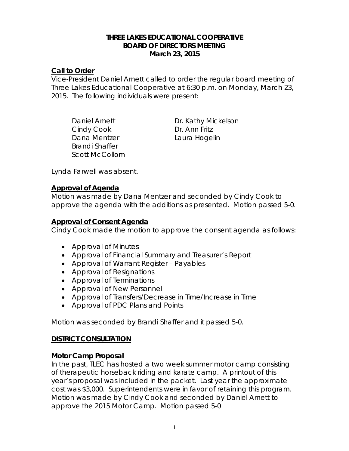#### **THREE LAKES EDUCATIONAL COOPERATIVE BOARD OF DIRECTORS MEETING March 23, 2015**

### **Call to Order**

Vice-President Daniel Arnett called to order the regular board meeting of Three Lakes Educational Cooperative at 6:30 p.m. on Monday, March 23, 2015. The following individuals were present:

Cindy Cook Dr. Ann Fritz Dana Mentzer **Laura Hogelin** Brandi Shaffer Scott McCollom

Daniel Arnett Dr. Kathy Mickelson

Lynda Farwell was absent.

## **Approval of Agenda**

Motion was made by Dana Mentzer and seconded by Cindy Cook to approve the agenda with the additions as presented. Motion passed 5-0.

# **Approval of Consent Agenda**

Cindy Cook made the motion to approve the consent agenda as follows:

- Approval of Minutes
- Approval of Financial Summary and Treasurer's Report
- Approval of Warrant Register Payables
- Approval of Resignations
- Approval of Terminations
- Approval of New Personnel
- Approval of Transfers/Decrease in Time/Increase in Time
- Approval of PDC Plans and Points

Motion was seconded by Brandi Shaffer and it passed 5-0.

### **DISTRICT CONSULTATION**

### **Motor Camp Proposal**

In the past, TLEC has hosted a two week summer motor camp consisting of therapeutic horseback riding and karate camp. A printout of this year's proposal was included in the packet. Last year the approximate cost was \$3,000. Superintendents were in favor of retaining this program. Motion was made by Cindy Cook and seconded by Daniel Arnett to approve the 2015 Motor Camp. Motion passed 5-0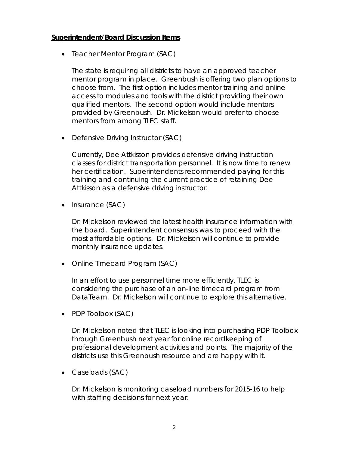#### **Superintendent/Board Discussion Items**

• *Teacher Mentor Program (SAC)*

The state is requiring all districts to have an approved teacher mentor program in place. Greenbush is offering two plan options to choose from. The first option includes mentor training and online access to modules and tools with the district providing their own qualified mentors. The second option would include mentors provided by Greenbush. Dr. Mickelson would prefer to choose mentors from among TLEC staff.

• *Defensive Driving Instructor (SAC)*

Currently, Dee Attkisson provides defensive driving instruction classes for district transportation personnel. It is now time to renew her certification. Superintendents recommended paying for this training and continuing the current practice of retaining Dee Attkisson as a defensive driving instructor.

• *Insurance (SAC)*

Dr. Mickelson reviewed the latest health insurance information with the board. Superintendent consensus was to proceed with the most affordable options. Dr. Mickelson will continue to provide monthly insurance updates.

• *Online Timecard Program (SAC)*

In an effort to use personnel time more efficiently, TLEC is considering the purchase of an on-line timecard program from DataTeam. Dr. Mickelson will continue to explore this alternative.

• *PDP Toolbox (SAC)*

Dr. Mickelson noted that TLEC is looking into purchasing PDP Toolbox through Greenbush next year for online recordkeeping of professional development activities and points. The majority of the districts use this Greenbush resource and are happy with it.

• *Caseloads (SAC)*

Dr. Mickelson is monitoring caseload numbers for 2015-16 to help with staffing decisions for next year.